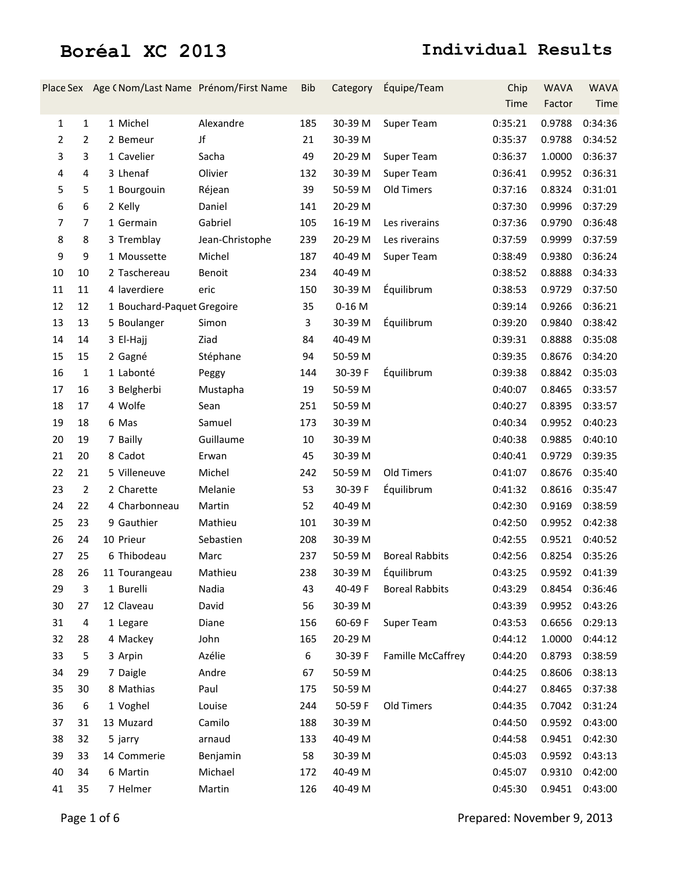|                |                | Place Sex Age (Nom/Last Name Prénom/First Name |                 | <b>Bib</b> | Category | Équipe/Team           | Chip    | <b>WAVA</b> | <b>WAVA</b>    |
|----------------|----------------|------------------------------------------------|-----------------|------------|----------|-----------------------|---------|-------------|----------------|
|                |                |                                                |                 |            |          |                       | Time    | Factor      | Time           |
| 1              | $\mathbf{1}$   | 1 Michel                                       | Alexandre       | 185        | 30-39 M  | Super Team            | 0:35:21 | 0.9788      | 0:34:36        |
| 2              | $\overline{2}$ | 2 Bemeur                                       | Jf              | 21         | 30-39 M  |                       | 0:35:37 | 0.9788      | 0:34:52        |
| 3              | 3              | 1 Cavelier                                     | Sacha           | 49         | 20-29 M  | Super Team            | 0:36:37 | 1.0000      | 0:36:37        |
| 4              | 4              | 3 Lhenaf                                       | Olivier         | 132        | 30-39 M  | Super Team            | 0:36:41 | 0.9952      | 0:36:31        |
| 5              | 5              | 1 Bourgouin                                    | Réjean          | 39         | 50-59 M  | Old Timers            | 0:37:16 | 0.8324      | 0:31:01        |
| 6              | 6              | 2 Kelly                                        | Daniel          | 141        | 20-29 M  |                       | 0:37:30 | 0.9996      | 0:37:29        |
| $\overline{7}$ | $\overline{7}$ | 1 Germain                                      | Gabriel         | 105        | 16-19 M  | Les riverains         | 0:37:36 | 0.9790      | 0:36:48        |
| 8              | 8              | 3 Tremblay                                     | Jean-Christophe | 239        | 20-29 M  | Les riverains         | 0:37:59 | 0.9999      | 0:37:59        |
| 9              | 9              | 1 Moussette                                    | Michel          | 187        | 40-49 M  | Super Team            | 0:38:49 | 0.9380      | 0:36:24        |
| 10             | 10             | 2 Taschereau                                   | Benoit          | 234        | 40-49 M  |                       | 0:38:52 | 0.8888      | 0:34:33        |
| 11             | 11             | 4 laverdiere                                   | eric            | 150        | 30-39 M  | Équilibrum            | 0:38:53 | 0.9729      | 0:37:50        |
| 12             | 12             | 1 Bouchard-Paquet Gregoire                     |                 | 35         | $0-16$ M |                       | 0:39:14 | 0.9266      | 0:36:21        |
| 13             | 13             | 5 Boulanger                                    | Simon           | 3          | 30-39 M  | Équilibrum            | 0:39:20 | 0.9840      | 0:38:42        |
| 14             | 14             | 3 El-Hajj                                      | Ziad            | 84         | 40-49 M  |                       | 0:39:31 | 0.8888      | 0:35:08        |
| 15             | 15             | 2 Gagné                                        | Stéphane        | 94         | 50-59 M  |                       | 0:39:35 | 0.8676      | 0:34:20        |
| 16             | 1              | 1 Labonté                                      | Peggy           | 144        | 30-39 F  | Équilibrum            | 0:39:38 | 0.8842      | 0:35:03        |
| 17             | 16             | 3 Belgherbi                                    | Mustapha        | 19         | 50-59 M  |                       | 0:40:07 | 0.8465      | 0:33:57        |
| 18             | 17             | 4 Wolfe                                        | Sean            | 251        | 50-59 M  |                       | 0:40:27 | 0.8395      | 0:33:57        |
| 19             | 18             | 6 Mas                                          | Samuel          | 173        | 30-39 M  |                       | 0:40:34 | 0.9952      | 0:40:23        |
| 20             | 19             | 7 Bailly                                       | Guillaume       | 10         | 30-39 M  |                       | 0:40:38 | 0.9885      | 0:40:10        |
| 21             | 20             | 8 Cadot                                        | Erwan           | 45         | 30-39 M  |                       | 0:40:41 | 0.9729      | 0:39:35        |
| 22             | 21             | 5 Villeneuve                                   | Michel          | 242        | 50-59 M  | Old Timers            | 0:41:07 | 0.8676      | 0:35:40        |
| 23             | $\overline{2}$ | 2 Charette                                     | Melanie         | 53         | 30-39 F  | Équilibrum            | 0:41:32 | 0.8616      | 0:35:47        |
| 24             | 22             | 4 Charbonneau                                  | Martin          | 52         | 40-49 M  |                       | 0:42:30 | 0.9169      | 0:38:59        |
| 25             | 23             | 9 Gauthier                                     | Mathieu         | 101        | 30-39 M  |                       | 0:42:50 | 0.9952      | 0:42:38        |
| 26             | 24             | 10 Prieur                                      | Sebastien       | 208        | 30-39 M  |                       | 0:42:55 | 0.9521      | 0:40:52        |
| 27             | 25             | 6 Thibodeau                                    | Marc            | 237        | 50-59 M  | <b>Boreal Rabbits</b> | 0:42:56 | 0.8254      | 0:35:26        |
| 28             | 26             | 11 Tourangeau                                  | Mathieu         | 238        |          | 30-39 M Équilibrum    | 0:43:25 |             | 0.9592 0:41:39 |
| 29             | 3              | 1 Burelli                                      | Nadia           | 43         | 40-49 F  | <b>Boreal Rabbits</b> | 0:43:29 | 0.8454      | 0:36:46        |
| 30             | 27             | 12 Claveau                                     | David           | 56         | 30-39 M  |                       | 0:43:39 | 0.9952      | 0:43:26        |
| 31             | 4              | 1 Legare                                       | Diane           | 156        | 60-69 F  | Super Team            | 0:43:53 | 0.6656      | 0:29:13        |
| 32             | 28             | 4 Mackey                                       | John            | 165        | 20-29 M  |                       | 0:44:12 | 1.0000      | 0:44:12        |
| 33             | 5              | 3 Arpin                                        | Azélie          | 6          | 30-39 F  | Famille McCaffrey     | 0:44:20 | 0.8793      | 0:38:59        |
| 34             | 29             | 7 Daigle                                       | Andre           | 67         | 50-59 M  |                       | 0:44:25 | 0.8606      | 0:38:13        |
| 35             | 30             | 8 Mathias                                      | Paul            | 175        | 50-59 M  |                       | 0:44:27 | 0.8465      | 0:37:38        |
| 36             | 6              | 1 Voghel                                       | Louise          | 244        | 50-59 F  | Old Timers            | 0:44:35 | 0.7042      | 0:31:24        |
| 37             | 31             | 13 Muzard                                      | Camilo          | 188        | 30-39 M  |                       | 0:44:50 | 0.9592      | 0:43:00        |
| 38             | 32             | 5 jarry                                        | arnaud          | 133        | 40-49 M  |                       | 0:44:58 | 0.9451      | 0:42:30        |
| 39             | 33             | 14 Commerie                                    | Benjamin        | 58         | 30-39 M  |                       | 0:45:03 | 0.9592      | 0:43:13        |
| 40             | 34             | 6 Martin                                       | Michael         | 172        | 40-49 M  |                       | 0:45:07 | 0.9310      | 0:42:00        |
| 41             | 35             | 7 Helmer                                       | Martin          | 126        | 40-49 M  |                       | 0:45:30 | 0.9451      | 0:43:00        |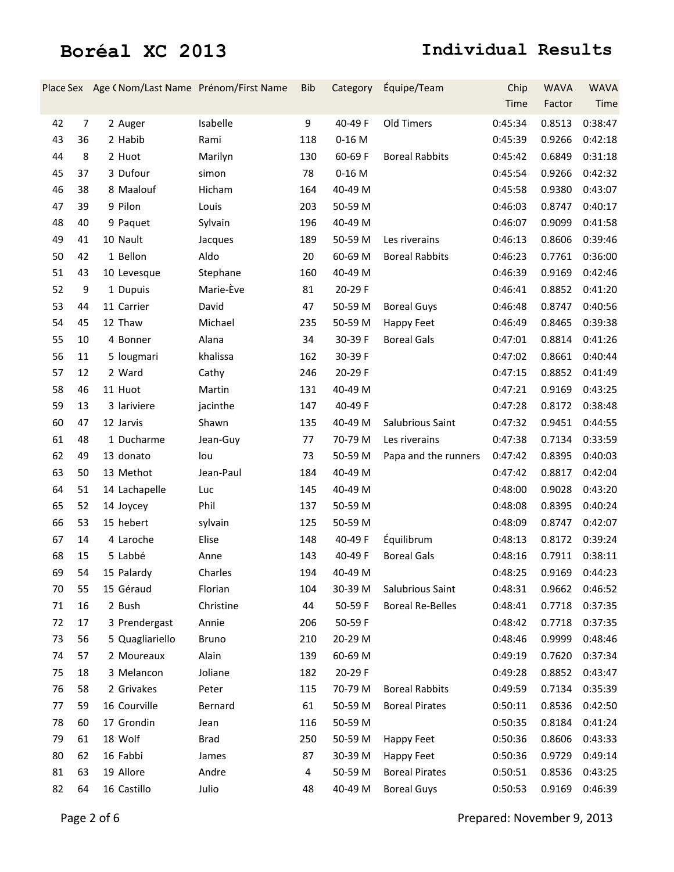|    |                | Place Sex Age (Nom/Last Name Prénom/First Name |              | <b>Bib</b> | Category | Équipe/Team             | Chip    | <b>WAVA</b> | <b>WAVA</b> |
|----|----------------|------------------------------------------------|--------------|------------|----------|-------------------------|---------|-------------|-------------|
|    |                |                                                |              |            |          |                         | Time    | Factor      | Time        |
| 42 | $\overline{7}$ | 2 Auger                                        | Isabelle     | 9          | 40-49 F  | Old Timers              | 0:45:34 | 0.8513      | 0:38:47     |
| 43 | 36             | 2 Habib                                        | Rami         | 118        | $0-16$ M |                         | 0:45:39 | 0.9266      | 0:42:18     |
| 44 | 8              | 2 Huot                                         | Marilyn      | 130        | 60-69 F  | <b>Boreal Rabbits</b>   | 0:45:42 | 0.6849      | 0:31:18     |
| 45 | 37             | 3 Dufour                                       | simon        | 78         | $0-16$ M |                         | 0:45:54 | 0.9266      | 0:42:32     |
| 46 | 38             | 8 Maalouf                                      | Hicham       | 164        | 40-49 M  |                         | 0:45:58 | 0.9380      | 0:43:07     |
| 47 | 39             | 9 Pilon                                        | Louis        | 203        | 50-59 M  |                         | 0:46:03 | 0.8747      | 0:40:17     |
| 48 | 40             | 9 Paquet                                       | Sylvain      | 196        | 40-49 M  |                         | 0:46:07 | 0.9099      | 0:41:58     |
| 49 | 41             | 10 Nault                                       | Jacques      | 189        | 50-59 M  | Les riverains           | 0:46:13 | 0.8606      | 0:39:46     |
| 50 | 42             | 1 Bellon                                       | Aldo         | 20         | 60-69 M  | <b>Boreal Rabbits</b>   | 0:46:23 | 0.7761      | 0:36:00     |
| 51 | 43             | 10 Levesque                                    | Stephane     | 160        | 40-49 M  |                         | 0:46:39 | 0.9169      | 0:42:46     |
| 52 | 9              | 1 Dupuis                                       | Marie-Ève    | 81         | 20-29 F  |                         | 0:46:41 | 0.8852      | 0:41:20     |
| 53 | 44             | 11 Carrier                                     | David        | 47         | 50-59 M  | <b>Boreal Guys</b>      | 0:46:48 | 0.8747      | 0:40:56     |
| 54 | 45             | 12 Thaw                                        | Michael      | 235        | 50-59 M  | <b>Happy Feet</b>       | 0:46:49 | 0.8465      | 0:39:38     |
| 55 | 10             | 4 Bonner                                       | Alana        | 34         | 30-39 F  | <b>Boreal Gals</b>      | 0:47:01 | 0.8814      | 0:41:26     |
| 56 | 11             | 5 lougmari                                     | khalissa     | 162        | 30-39 F  |                         | 0:47:02 | 0.8661      | 0:40:44     |
| 57 | 12             | 2 Ward                                         | Cathy        | 246        | 20-29 F  |                         | 0:47:15 | 0.8852      | 0:41:49     |
| 58 | 46             | 11 Huot                                        | Martin       | 131        | 40-49 M  |                         | 0:47:21 | 0.9169      | 0:43:25     |
| 59 | 13             | 3 lariviere                                    | jacinthe     | 147        | 40-49 F  |                         | 0:47:28 | 0.8172      | 0:38:48     |
| 60 | 47             | 12 Jarvis                                      | Shawn        | 135        | 40-49 M  | Salubrious Saint        | 0:47:32 | 0.9451      | 0:44:55     |
| 61 | 48             | 1 Ducharme                                     | Jean-Guy     | 77         | 70-79 M  | Les riverains           | 0:47:38 | 0.7134      | 0:33:59     |
| 62 | 49             | 13 donato                                      | lou          | 73         | 50-59 M  | Papa and the runners    | 0:47:42 | 0.8395      | 0:40:03     |
| 63 | 50             | 13 Methot                                      | Jean-Paul    | 184        | 40-49 M  |                         | 0:47:42 | 0.8817      | 0:42:04     |
| 64 | 51             | 14 Lachapelle                                  | Luc          | 145        | 40-49 M  |                         | 0:48:00 | 0.9028      | 0:43:20     |
| 65 | 52             | 14 Joycey                                      | Phil         | 137        | 50-59 M  |                         | 0:48:08 | 0.8395      | 0:40:24     |
| 66 | 53             | 15 hebert                                      | sylvain      | 125        | 50-59 M  |                         | 0:48:09 | 0.8747      | 0:42:07     |
| 67 | 14             | 4 Laroche                                      | Elise        | 148        | 40-49 F  | Équilibrum              | 0:48:13 | 0.8172      | 0:39:24     |
| 68 | 15             | 5 Labbé                                        | Anne         | 143        | 40-49 F  | <b>Boreal Gals</b>      | 0:48:16 | 0.7911      | 0:38:11     |
| 69 | 54             | 15 Palardy                                     | Charles      | 194        | 40-49 M  |                         | 0:48:25 | 0.9169      | 0:44:23     |
| 70 | 55             | 15 Géraud                                      | Florian      | 104        | 30-39 M  | Salubrious Saint        | 0:48:31 | 0.9662      | 0:46:52     |
| 71 | 16             | 2 Bush                                         | Christine    | 44         | 50-59 F  | <b>Boreal Re-Belles</b> | 0:48:41 | 0.7718      | 0:37:35     |
| 72 | 17             | 3 Prendergast                                  | Annie        | 206        | 50-59 F  |                         | 0:48:42 | 0.7718      | 0:37:35     |
| 73 | 56             | 5 Quagliariello                                | <b>Bruno</b> | 210        | 20-29 M  |                         | 0:48:46 | 0.9999      | 0:48:46     |
| 74 | 57             | 2 Moureaux                                     | Alain        | 139        | 60-69 M  |                         | 0:49:19 | 0.7620      | 0:37:34     |
| 75 | 18             | 3 Melancon                                     | Joliane      | 182        | 20-29 F  |                         | 0:49:28 | 0.8852      | 0:43:47     |
| 76 | 58             | 2 Grivakes                                     | Peter        | 115        | 70-79 M  | <b>Boreal Rabbits</b>   | 0:49:59 | 0.7134      | 0:35:39     |
| 77 | 59             | 16 Courville                                   | Bernard      | 61         | 50-59 M  | <b>Boreal Pirates</b>   | 0:50:11 | 0.8536      | 0:42:50     |
| 78 | 60             | 17 Grondin                                     | Jean         | 116        | 50-59 M  |                         | 0:50:35 | 0.8184      | 0:41:24     |
| 79 | 61             | 18 Wolf                                        | <b>Brad</b>  | 250        | 50-59 M  | Happy Feet              | 0:50:36 | 0.8606      | 0:43:33     |
| 80 | 62             | 16 Fabbi                                       | James        | 87         | 30-39 M  | Happy Feet              | 0:50:36 | 0.9729      | 0:49:14     |
| 81 | 63             | 19 Allore                                      | Andre        | 4          | 50-59 M  | <b>Boreal Pirates</b>   | 0:50:51 | 0.8536      | 0:43:25     |
| 82 | 64             | 16 Castillo                                    | Julio        | 48         | 40-49 M  | <b>Boreal Guys</b>      | 0:50:53 | 0.9169      | 0:46:39     |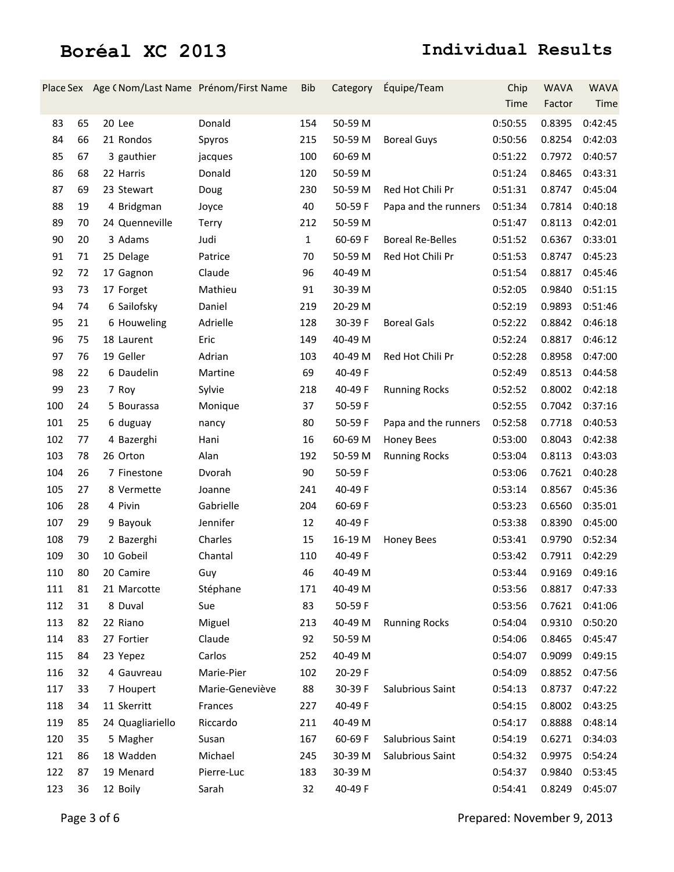|     |    |                  | Place Sex Age (Nom/Last Name Prénom/First Name | <b>Bib</b>   | Category | Équipe/Team             | Chip    | <b>WAVA</b> | <b>WAVA</b>    |
|-----|----|------------------|------------------------------------------------|--------------|----------|-------------------------|---------|-------------|----------------|
|     |    |                  |                                                |              |          |                         | Time    | Factor      | Time           |
| 83  | 65 | 20 Lee           | Donald                                         | 154          | 50-59 M  |                         | 0:50:55 | 0.8395      | 0:42:45        |
| 84  | 66 | 21 Rondos        | Spyros                                         | 215          | 50-59 M  | <b>Boreal Guys</b>      | 0:50:56 | 0.8254      | 0:42:03        |
| 85  | 67 | 3 gauthier       | jacques                                        | 100          | 60-69 M  |                         | 0:51:22 | 0.7972      | 0:40:57        |
| 86  | 68 | 22 Harris        | Donald                                         | 120          | 50-59 M  |                         | 0:51:24 | 0.8465      | 0:43:31        |
| 87  | 69 | 23 Stewart       | Doug                                           | 230          | 50-59 M  | Red Hot Chili Pr        | 0:51:31 | 0.8747      | 0:45:04        |
| 88  | 19 | 4 Bridgman       | Joyce                                          | 40           | 50-59 F  | Papa and the runners    | 0:51:34 | 0.7814      | 0:40:18        |
| 89  | 70 | 24 Quenneville   | Terry                                          | 212          | 50-59 M  |                         | 0:51:47 | 0.8113      | 0:42:01        |
| 90  | 20 | 3 Adams          | Judi                                           | $\mathbf{1}$ | 60-69 F  | <b>Boreal Re-Belles</b> | 0:51:52 | 0.6367      | 0:33:01        |
| 91  | 71 | 25 Delage        | Patrice                                        | 70           | 50-59 M  | Red Hot Chili Pr        | 0:51:53 | 0.8747      | 0:45:23        |
| 92  | 72 | 17 Gagnon        | Claude                                         | 96           | 40-49 M  |                         | 0:51:54 | 0.8817      | 0:45:46        |
| 93  | 73 | 17 Forget        | Mathieu                                        | 91           | 30-39 M  |                         | 0:52:05 | 0.9840      | 0:51:15        |
| 94  | 74 | 6 Sailofsky      | Daniel                                         | 219          | 20-29 M  |                         | 0:52:19 | 0.9893      | 0:51:46        |
| 95  | 21 | 6 Houweling      | Adrielle                                       | 128          | 30-39 F  | <b>Boreal Gals</b>      | 0:52:22 | 0.8842      | 0:46:18        |
| 96  | 75 | 18 Laurent       | Eric                                           | 149          | 40-49 M  |                         | 0:52:24 | 0.8817      | 0:46:12        |
| 97  | 76 | 19 Geller        | Adrian                                         | 103          | 40-49 M  | Red Hot Chili Pr        | 0:52:28 | 0.8958      | 0:47:00        |
| 98  | 22 | 6 Daudelin       | Martine                                        | 69           | 40-49 F  |                         | 0:52:49 | 0.8513      | 0:44:58        |
| 99  | 23 | 7 Roy            | Sylvie                                         | 218          | 40-49 F  | <b>Running Rocks</b>    | 0:52:52 | 0.8002      | 0:42:18        |
| 100 | 24 | 5 Bourassa       | Monique                                        | 37           | 50-59 F  |                         | 0:52:55 | 0.7042      | 0:37:16        |
| 101 | 25 | 6 duguay         | nancy                                          | 80           | 50-59 F  | Papa and the runners    | 0:52:58 | 0.7718      | 0:40:53        |
| 102 | 77 | 4 Bazerghi       | Hani                                           | 16           | 60-69 M  | <b>Honey Bees</b>       | 0:53:00 | 0.8043      | 0:42:38        |
| 103 | 78 | 26 Orton         | Alan                                           | 192          | 50-59 M  | <b>Running Rocks</b>    | 0:53:04 | 0.8113      | 0:43:03        |
| 104 | 26 | 7 Finestone      | Dvorah                                         | 90           | 50-59 F  |                         | 0:53:06 | 0.7621      | 0:40:28        |
| 105 | 27 | 8 Vermette       | Joanne                                         | 241          | 40-49 F  |                         | 0:53:14 | 0.8567      | 0:45:36        |
| 106 | 28 | 4 Pivin          | Gabrielle                                      | 204          | 60-69 F  |                         | 0:53:23 | 0.6560      | 0:35:01        |
| 107 | 29 | 9 Bayouk         | Jennifer                                       | 12           | 40-49 F  |                         | 0:53:38 | 0.8390      | 0:45:00        |
| 108 | 79 | 2 Bazerghi       | Charles                                        | 15           | 16-19 M  | <b>Honey Bees</b>       | 0:53:41 | 0.9790      | 0:52:34        |
| 109 | 30 | 10 Gobeil        | Chantal                                        | 110          | 40-49 F  |                         | 0:53:42 | 0.7911      | 0:42:29        |
| 110 | 80 | 20 Camire        | Guy                                            | 46           | 40-49 M  |                         | 0:53:44 |             | 0.9169 0:49:16 |
| 111 | 81 | 21 Marcotte      | Stéphane                                       | 171          | 40-49 M  |                         | 0:53:56 | 0.8817      | 0:47:33        |
| 112 | 31 | 8 Duval          | Sue                                            | 83           | 50-59 F  |                         | 0:53:56 | 0.7621      | 0:41:06        |
| 113 | 82 | 22 Riano         | Miguel                                         | 213          | 40-49 M  | <b>Running Rocks</b>    | 0:54:04 | 0.9310      | 0:50:20        |
| 114 | 83 | 27 Fortier       | Claude                                         | 92           | 50-59 M  |                         | 0:54:06 | 0.8465      | 0:45:47        |
| 115 | 84 | 23 Yepez         | Carlos                                         | 252          | 40-49 M  |                         | 0:54:07 | 0.9099      | 0:49:15        |
| 116 | 32 | 4 Gauvreau       | Marie-Pier                                     | 102          | 20-29 F  |                         | 0:54:09 | 0.8852      | 0:47:56        |
| 117 | 33 | 7 Houpert        | Marie-Geneviève                                | 88           | 30-39 F  | Salubrious Saint        | 0:54:13 | 0.8737      | 0:47:22        |
| 118 | 34 | 11 Skerritt      | Frances                                        | 227          | 40-49 F  |                         | 0:54:15 | 0.8002      | 0:43:25        |
| 119 | 85 | 24 Quagliariello | Riccardo                                       | 211          | 40-49 M  |                         | 0:54:17 | 0.8888      | 0:48:14        |
| 120 | 35 | 5 Magher         | Susan                                          | 167          | 60-69 F  | Salubrious Saint        | 0:54:19 | 0.6271      | 0:34:03        |
| 121 | 86 | 18 Wadden        | Michael                                        | 245          | 30-39 M  | Salubrious Saint        | 0:54:32 | 0.9975      | 0:54:24        |
| 122 | 87 | 19 Menard        | Pierre-Luc                                     | 183          | 30-39 M  |                         | 0:54:37 | 0.9840      | 0:53:45        |
| 123 | 36 | 12 Boily         | Sarah                                          | 32           | 40-49 F  |                         | 0:54:41 | 0.8249      | 0:45:07        |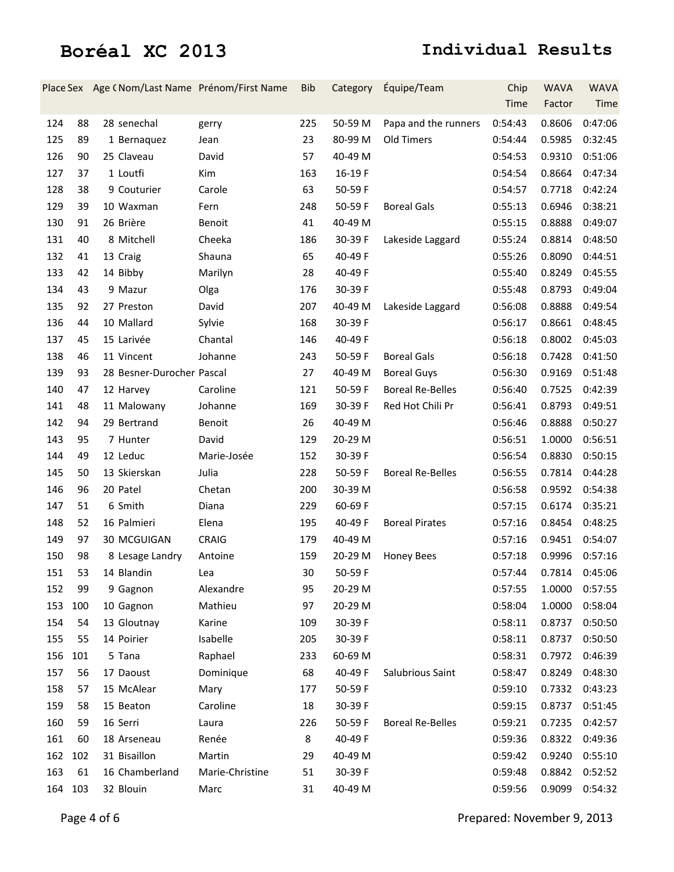|         |     |                           | Place Sex Age (Nom/Last Name Prénom/First Name | <b>Bib</b> | Category | Équipe/Team             | Chip    | <b>WAVA</b>              | <b>WAVA</b> |
|---------|-----|---------------------------|------------------------------------------------|------------|----------|-------------------------|---------|--------------------------|-------------|
|         |     |                           |                                                |            |          |                         | Time    | Factor                   | Time        |
| 124     | 88  | 28 senechal               | gerry                                          | 225        | 50-59 M  | Papa and the runners    | 0:54:43 | 0.8606                   | 0:47:06     |
| 125     | 89  | 1 Bernaquez               | Jean                                           | 23         | 80-99 M  | Old Timers              | 0:54:44 | 0.5985                   | 0:32:45     |
| 126     | 90  | 25 Claveau                | David                                          | 57         | 40-49 M  |                         | 0:54:53 | 0.9310                   | 0:51:06     |
| 127     | 37  | 1 Loutfi                  | Kim                                            | 163        | 16-19F   |                         | 0:54:54 | 0.8664                   | 0:47:34     |
| 128     | 38  | 9 Couturier               | Carole                                         | 63         | 50-59 F  |                         | 0:54:57 | 0.7718                   | 0:42:24     |
| 129     | 39  | 10 Waxman                 | Fern                                           | 248        | 50-59 F  | <b>Boreal Gals</b>      | 0:55:13 | 0.6946                   | 0:38:21     |
| 130     | 91  | 26 Brière                 | Benoit                                         | 41         | 40-49 M  |                         | 0:55:15 | 0.8888                   | 0:49:07     |
| 131     | 40  | 8 Mitchell                | Cheeka                                         | 186        | 30-39 F  | Lakeside Laggard        | 0:55:24 | 0.8814                   | 0:48:50     |
| 132     | 41  | 13 Craig                  | Shauna                                         | 65         | 40-49 F  |                         | 0:55:26 | 0.8090                   | 0:44:51     |
| 133     | 42  | 14 Bibby                  | Marilyn                                        | 28         | 40-49 F  |                         | 0:55:40 | 0.8249                   | 0:45:55     |
| 134     | 43  | 9 Mazur                   | Olga                                           | 176        | 30-39 F  |                         | 0:55:48 | 0.8793                   | 0:49:04     |
| 135     | 92  | 27 Preston                | David                                          | 207        | 40-49 M  | Lakeside Laggard        | 0:56:08 | 0.8888                   | 0:49:54     |
| 136     | 44  | 10 Mallard                | Sylvie                                         | 168        | 30-39 F  |                         | 0:56:17 | 0.8661                   | 0:48:45     |
| 137     | 45  | 15 Larivée                | Chantal                                        | 146        | 40-49 F  |                         | 0:56:18 | 0.8002                   | 0:45:03     |
| 138     | 46  | 11 Vincent                | Johanne                                        | 243        | 50-59 F  | <b>Boreal Gals</b>      | 0:56:18 | 0.7428                   | 0:41:50     |
| 139     | 93  | 28 Besner-Durocher Pascal |                                                | 27         | 40-49 M  | <b>Boreal Guys</b>      | 0:56:30 | 0.9169                   | 0:51:48     |
| 140     | 47  | 12 Harvey                 | Caroline                                       | 121        | 50-59 F  | <b>Boreal Re-Belles</b> | 0:56:40 | 0.7525                   | 0:42:39     |
| 141     | 48  | 11 Malowany               | Johanne                                        | 169        | 30-39 F  | Red Hot Chili Pr        | 0:56:41 | 0.8793                   | 0:49:51     |
| 142     | 94  | 29 Bertrand               | Benoit                                         | 26         | 40-49 M  |                         | 0:56:46 | 0.8888                   | 0:50:27     |
| 143     | 95  | 7 Hunter                  | David                                          | 129        | 20-29 M  |                         | 0:56:51 | 1.0000                   | 0:56:51     |
| 144     | 49  | 12 Leduc                  | Marie-Josée                                    | 152        | 30-39 F  |                         | 0:56:54 | 0.8830                   | 0:50:15     |
| 145     | 50  | 13 Skierskan              | Julia                                          | 228        | 50-59 F  | <b>Boreal Re-Belles</b> | 0:56:55 | 0.7814                   | 0:44:28     |
| 146     | 96  | 20 Patel                  | Chetan                                         | 200        | 30-39 M  |                         | 0:56:58 | 0.9592                   | 0:54:38     |
| 147     | 51  | 6 Smith                   | Diana                                          | 229        | 60-69 F  |                         | 0:57:15 | 0.6174                   | 0:35:21     |
| 148     | 52  | 16 Palmieri               | Elena                                          | 195        | 40-49 F  | <b>Boreal Pirates</b>   | 0:57:16 | 0.8454                   | 0:48:25     |
| 149     | 97  | 30 MCGUIGAN               | CRAIG                                          | 179        | 40-49 M  |                         | 0:57:16 | 0.9451                   | 0:54:07     |
| 150     | 98  | 8 Lesage Landry           | Antoine                                        | 159        | 20-29 M  | <b>Honey Bees</b>       | 0:57:18 | 0.9996                   | 0:57:16     |
| 151     | 53  | 14 Blandin                | Lea                                            | 30         | 50-59 F  |                         |         | 0:57:44  0.7814  0:45:06 |             |
| 152     | 99  | 9 Gagnon                  | Alexandre                                      | 95         | 20-29 M  |                         | 0:57:55 | 1.0000                   | 0:57:55     |
| 153     | 100 | 10 Gagnon                 | Mathieu                                        | 97         | 20-29 M  |                         | 0:58:04 | 1.0000                   | 0:58:04     |
| 154     | 54  | 13 Gloutnay               | Karine                                         | 109        | 30-39 F  |                         | 0:58:11 | 0.8737                   | 0:50:50     |
| 155     | 55  | 14 Poirier                | Isabelle                                       | 205        | 30-39 F  |                         | 0:58:11 | 0.8737                   | 0:50:50     |
| 156     | 101 | 5 Tana                    | Raphael                                        | 233        | 60-69 M  |                         | 0:58:31 | 0.7972                   | 0:46:39     |
| 157     | 56  | 17 Daoust                 | Dominique                                      | 68         | 40-49 F  | Salubrious Saint        | 0:58:47 | 0.8249                   | 0:48:30     |
| 158     | 57  | 15 McAlear                | Mary                                           | 177        | 50-59 F  |                         | 0:59:10 | 0.7332                   | 0:43:23     |
| 159     | 58  | 15 Beaton                 | Caroline                                       | 18         | 30-39 F  |                         | 0:59:15 | 0.8737                   | 0:51:45     |
| 160     | 59  | 16 Serri                  | Laura                                          | 226        | 50-59 F  | <b>Boreal Re-Belles</b> | 0:59:21 | 0.7235                   | 0:42:57     |
| 161     | 60  | 18 Arseneau               | Renée                                          | 8          | 40-49 F  |                         | 0:59:36 | 0.8322                   | 0:49:36     |
| 162 102 |     | 31 Bisaillon              | Martin                                         | 29         | 40-49 M  |                         | 0:59:42 | 0.9240                   | 0:55:10     |
| 163     | 61  | 16 Chamberland            | Marie-Christine                                | 51         | 30-39 F  |                         | 0:59:48 | 0.8842                   | 0:52:52     |
| 164 103 |     | 32 Blouin                 | Marc                                           | 31         | 40-49 M  |                         | 0:59:56 | 0.9099                   | 0:54:32     |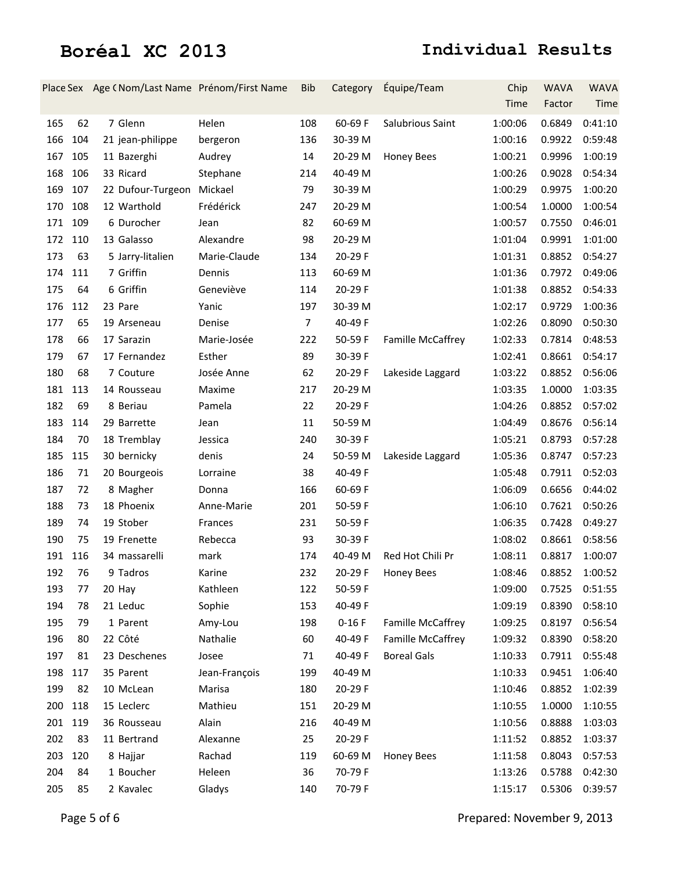|     |     | Place Sex Age (Nom/Last Name Prénom/First Name |               | <b>Bib</b>     | Category | Équipe/Team              | Chip    | <b>WAVA</b> | <b>WAVA</b> |
|-----|-----|------------------------------------------------|---------------|----------------|----------|--------------------------|---------|-------------|-------------|
|     |     |                                                |               |                |          |                          | Time    | Factor      | Time        |
| 165 | 62  | 7 Glenn                                        | Helen         | 108            | 60-69 F  | Salubrious Saint         | 1:00:06 | 0.6849      | 0:41:10     |
| 166 | 104 | 21 jean-philippe                               | bergeron      | 136            | 30-39 M  |                          | 1:00:16 | 0.9922      | 0:59:48     |
| 167 | 105 | 11 Bazerghi                                    | Audrey        | 14             | 20-29 M  | <b>Honey Bees</b>        | 1:00:21 | 0.9996      | 1:00:19     |
| 168 | 106 | 33 Ricard                                      | Stephane      | 214            | 40-49 M  |                          | 1:00:26 | 0.9028      | 0:54:34     |
| 169 | 107 | 22 Dufour-Turgeon                              | Mickael       | 79             | 30-39 M  |                          | 1:00:29 | 0.9975      | 1:00:20     |
| 170 | 108 | 12 Warthold                                    | Frédérick     | 247            | 20-29 M  |                          | 1:00:54 | 1.0000      | 1:00:54     |
| 171 | 109 | 6 Durocher                                     | Jean          | 82             | 60-69 M  |                          | 1:00:57 | 0.7550      | 0:46:01     |
| 172 | 110 | 13 Galasso                                     | Alexandre     | 98             | 20-29 M  |                          | 1:01:04 | 0.9991      | 1:01:00     |
| 173 | 63  | 5 Jarry-litalien                               | Marie-Claude  | 134            | 20-29 F  |                          | 1:01:31 | 0.8852      | 0:54:27     |
| 174 | 111 | 7 Griffin                                      | Dennis        | 113            | 60-69 M  |                          | 1:01:36 | 0.7972      | 0:49:06     |
| 175 | 64  | 6 Griffin                                      | Geneviève     | 114            | 20-29 F  |                          | 1:01:38 | 0.8852      | 0:54:33     |
| 176 | 112 | 23 Pare                                        | Yanic         | 197            | 30-39 M  |                          | 1:02:17 | 0.9729      | 1:00:36     |
| 177 | 65  | 19 Arseneau                                    | Denise        | $\overline{7}$ | 40-49 F  |                          | 1:02:26 | 0.8090      | 0:50:30     |
| 178 | 66  | 17 Sarazin                                     | Marie-Josée   | 222            | 50-59 F  | <b>Famille McCaffrey</b> | 1:02:33 | 0.7814      | 0:48:53     |
| 179 | 67  | 17 Fernandez                                   | Esther        | 89             | 30-39 F  |                          | 1:02:41 | 0.8661      | 0:54:17     |
| 180 | 68  | 7 Couture                                      | Josée Anne    | 62             | 20-29 F  | Lakeside Laggard         | 1:03:22 | 0.8852      | 0:56:06     |
| 181 | 113 | 14 Rousseau                                    | Maxime        | 217            | 20-29 M  |                          | 1:03:35 | 1.0000      | 1:03:35     |
| 182 | 69  | 8 Beriau                                       | Pamela        | 22             | 20-29 F  |                          | 1:04:26 | 0.8852      | 0:57:02     |
| 183 | 114 | 29 Barrette                                    | Jean          | 11             | 50-59 M  |                          | 1:04:49 | 0.8676      | 0:56:14     |
| 184 | 70  | 18 Tremblay                                    | Jessica       | 240            | 30-39 F  |                          | 1:05:21 | 0.8793      | 0:57:28     |
| 185 | 115 | 30 bernicky                                    | denis         | 24             | 50-59 M  | Lakeside Laggard         | 1:05:36 | 0.8747      | 0:57:23     |
| 186 | 71  | 20 Bourgeois                                   | Lorraine      | 38             | 40-49 F  |                          | 1:05:48 | 0.7911      | 0:52:03     |
| 187 | 72  | 8 Magher                                       | Donna         | 166            | 60-69 F  |                          | 1:06:09 | 0.6656      | 0:44:02     |
| 188 | 73  | 18 Phoenix                                     | Anne-Marie    | 201            | 50-59 F  |                          | 1:06:10 | 0.7621      | 0:50:26     |
| 189 | 74  | 19 Stober                                      | Frances       | 231            | 50-59 F  |                          | 1:06:35 | 0.7428      | 0:49:27     |
| 190 | 75  | 19 Frenette                                    | Rebecca       | 93             | 30-39 F  |                          | 1:08:02 | 0.8661      | 0:58:56     |
| 191 | 116 | 34 massarelli                                  | mark          | 174            | 40-49 M  | Red Hot Chili Pr         | 1:08:11 | 0.8817      | 1:00:07     |
| 192 | 76  | 9 Tadros                                       | Karine        | 232            | 20-29 F  | Honey Bees               | 1:08:46 | 0.8852      | 1:00:52     |
| 193 | 77  | 20 Hay                                         | Kathleen      | 122            | 50-59 F  |                          | 1:09:00 | 0.7525      | 0:51:55     |
| 194 | 78  | 21 Leduc                                       | Sophie        | 153            | 40-49 F  |                          | 1:09:19 | 0.8390      | 0:58:10     |
| 195 | 79  | 1 Parent                                       | Amy-Lou       | 198            | $0-16F$  | <b>Famille McCaffrey</b> | 1:09:25 | 0.8197      | 0:56:54     |
| 196 | 80  | 22 Côté                                        | Nathalie      | 60             | 40-49 F  | <b>Famille McCaffrey</b> | 1:09:32 | 0.8390      | 0:58:20     |
| 197 | 81  | 23 Deschenes                                   | Josee         | 71             | 40-49 F  | <b>Boreal Gals</b>       | 1:10:33 | 0.7911      | 0:55:48     |
| 198 | 117 | 35 Parent                                      | Jean-François | 199            | 40-49 M  |                          | 1:10:33 | 0.9451      | 1:06:40     |
| 199 | 82  | 10 McLean                                      | Marisa        | 180            | 20-29 F  |                          | 1:10:46 | 0.8852      | 1:02:39     |
| 200 | 118 | 15 Leclerc                                     | Mathieu       | 151            | 20-29 M  |                          | 1:10:55 | 1.0000      | 1:10:55     |
| 201 | 119 | 36 Rousseau                                    | Alain         | 216            | 40-49 M  |                          | 1:10:56 | 0.8888      | 1:03:03     |
| 202 | 83  | 11 Bertrand                                    | Alexanne      | 25             | 20-29 F  |                          | 1:11:52 | 0.8852      | 1:03:37     |
| 203 | 120 | 8 Hajjar                                       | Rachad        | 119            | 60-69 M  | <b>Honey Bees</b>        | 1:11:58 | 0.8043      | 0:57:53     |
| 204 | 84  | 1 Boucher                                      | Heleen        | 36             | 70-79F   |                          | 1:13:26 | 0.5788      | 0:42:30     |
| 205 | 85  | 2 Kavalec                                      | Gladys        | 140            | 70-79F   |                          | 1:15:17 | 0.5306      | 0:39:57     |